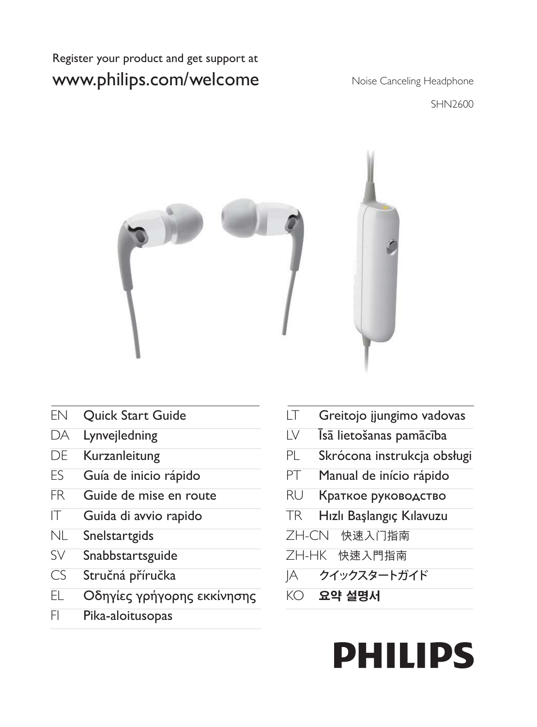#### Register your product and get support at www.philips.com/welcome

Noise Canceling Headphone

SHN2600



- EN Quick Start Guide
- DA Lynvejledning
- DE Kurzanleitung
- ES Guía de inicio rápido
- FR Guide de mise en route
- IT Guida di avvio rapido
- NL Snelstartgids
- SV Snabbstartsguide
- CS Stručná příručka
- EL Οδηγίες γρήγορης εκκίνησης
- FI Pika-aloitusopas
- LT Greitojo įjungimo vadovas
- LV Īsā lietošanas pamācība
- PL Skrócona instrukcja obsługi
- PT Manual de início rápido
- RU Краткое руководство
- TR Hızlı Başlangıç Kılavuzu
- ZH-CN 快速入门指南
- ZH-HK 快速入門指南
- JA クイックスタートガイド
- KO 요약 설명서

# **PHILIPS**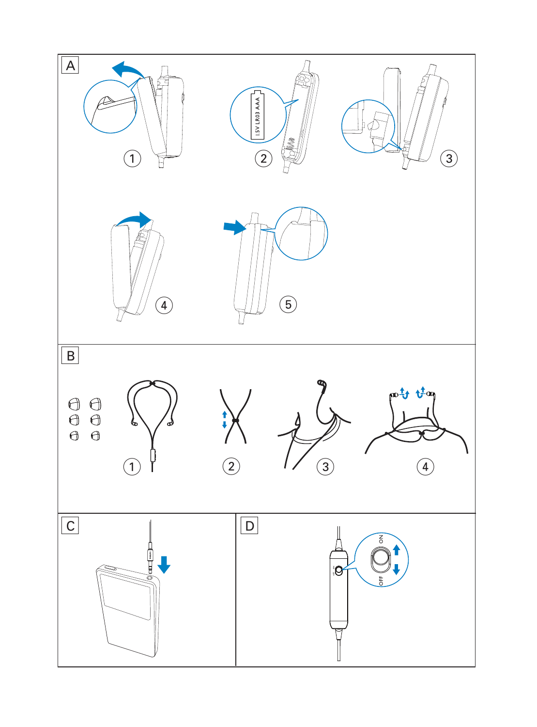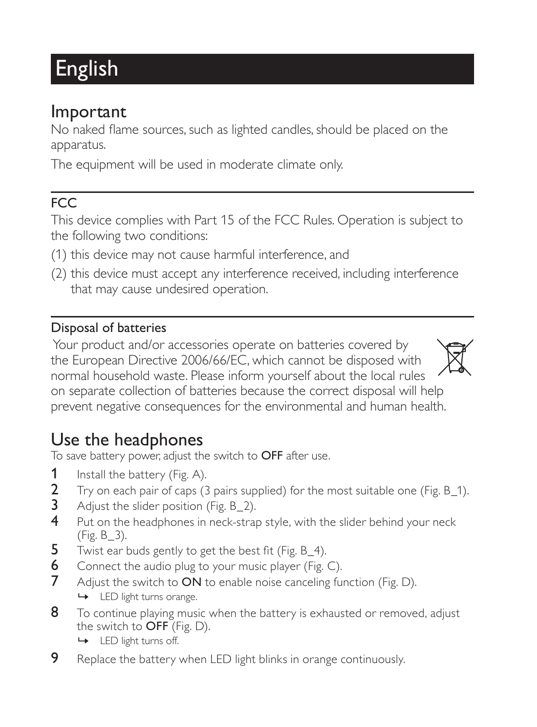## English

### Important

No naked flame sources, such as lighted candles, should be placed on the apparatus.

The equipment will be used in moderate climate only.

### FCC

This device complies with Part 15 of the FCC Rules. Operation is subject to the following two conditions:

- (1) this device may not cause harmful interference, and
- (2) this device must accept any interference received, including interference that may cause undesired operation.

#### Disposal of batteries

 Your product and/or accessories operate on batteries covered by the European Directive 2006/66/EC, which cannot be disposed with normal household waste. Please inform yourself about the local rules on separate collection of batteries because the correct disposal will help prevent negative consequences for the environmental and human health.



To save battery power, adjust the switch to OFF after use.

- **1** Install the battery (Fig. A).<br>**2** Try on each pair of caps (3)
- 2 Try on each pair of caps (3 pairs supplied) for the most suitable one (Fig. B\_1).<br>3 Adiust the slider position (Fig. B 2).
- Adjust the slider position (Fig. B\_2).
- 4 Put on the headphones in neck-strap style, with the slider behind your neck (Fig. B\_3).
- **5** Twist ear buds gently to get the best fit (Fig.  $B_4$ ).
- 6 Connect the audio plug to your music player (Fig. C).
- 7 Adjust the switch to ON to enable noise canceling function (Fig. D).
	- » LED light turns orange.
- 8 To continue playing music when the battery is exhausted or removed, adjust the switch to OFF (Fig. D).
	- » LED light turns off.
- **9** Replace the battery when LED light blinks in orange continuously.